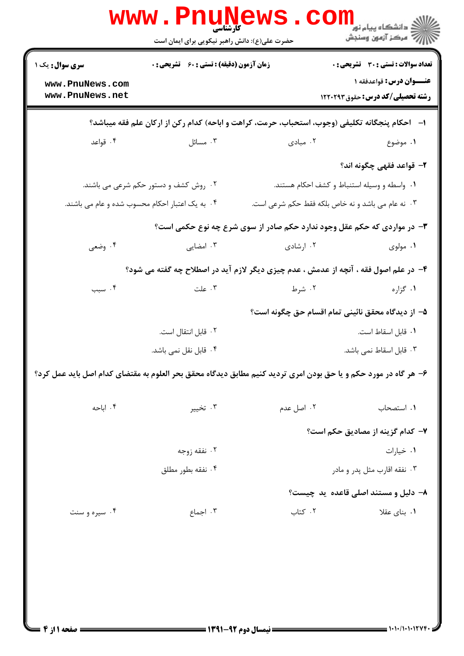|                                                                                                                  | <b>WWW . PNUNE</b><br><b>کارشناسی</b><br>حضرت علی(ع): دانش راهبر نیکویی برای ایمان است |            | ڪ دانشڪاه پيا <sub>م</sub> نور<br>7ء مرڪز آزمون وسنڊش                                                              |  |  |
|------------------------------------------------------------------------------------------------------------------|----------------------------------------------------------------------------------------|------------|--------------------------------------------------------------------------------------------------------------------|--|--|
| <b>سری سوال :</b> یک ۱<br>www.PnuNews.com<br>www.PnuNews.net                                                     | <b>زمان آزمون (دقیقه) : تستی : 60 ٪ تشریحی : 0</b>                                     |            | <b>تعداد سوالات : تستی : 30 ٪ تشریحی : 0</b><br>عنــوان درس: قواعدفقه ۱<br><b>رشته تحصیلی/کد درس:</b> حقوق ۱۲۲۰۲۹۳ |  |  |
| ا–۔ احکام پنجگانه تکلیفی (وجوب، استحباب، حرمت، کراهت و اباحه) کدام رکن از ارکان علم فقه میباشد؟                  |                                                                                        |            |                                                                                                                    |  |  |
| ۰۴ قواعد                                                                                                         | ۰۳ مسائل                                                                               | ۰۲ مبادی   | ۰۱ موضوع                                                                                                           |  |  |
|                                                                                                                  |                                                                                        |            | ۲– قواعد فقهی چگونه اند؟                                                                                           |  |  |
|                                                                                                                  | ۰۲ روش کشف و دستور حکم شرعی می باشند.                                                  |            | ۰۱ واسطه و وسیله استنباط و کشف احکام هستند.                                                                        |  |  |
| ۰۴ به یک اعتبار احکام محسوب شده و عام می باشند.                                                                  |                                                                                        |            | ۰۳ نه عام می باشد و نه خاص بلکه فقط حکم شرعی است.                                                                  |  |  |
| ۳- در مواردی که حکم عقل وجود ندارد حکم صادر از سوی شرع چه نوع حکمی است؟                                          |                                                                                        |            |                                                                                                                    |  |  |
| ۰۴ وضعی                                                                                                          | ۰۳ امضایی                                                                              | ۰۲ ارشادی  | ۰۱ مولوی                                                                                                           |  |  |
|                                                                                                                  | ۴- در علم اصول فقه ، آنچه از عدمش ، عدم چیزی دیگر لازم آید در اصطلاح چه گفته می شود؟   |            |                                                                                                                    |  |  |
| ۰۴ سبب                                                                                                           | ۰۳ علت                                                                                 | ۲. شرط     | ۰۱ گزاره                                                                                                           |  |  |
|                                                                                                                  |                                                                                        |            | ۵– از دیدگاه محقق نائینی تمام اقسام حق چگونه است؟                                                                  |  |  |
|                                                                                                                  | ٢. قابل انتقال است.                                                                    |            | ٠١ قابل اسقاط است.                                                                                                 |  |  |
|                                                                                                                  | ۰۴ قابل نقل نمی باشد.                                                                  |            | ۰۳ قابل اسقاط نمی باشد.                                                                                            |  |  |
| ۶- هر گاه در مورد حکم و یا حق بودن امری تردید کنیم مطابق دیدگاه محقق بحر العلوم به مقتضای کدام اصل باید عمل کرد؟ |                                                                                        |            |                                                                                                                    |  |  |
| ۰۴ اباحه                                                                                                         | ۰۳ تخيير                                                                               | ۰۲ اصل عدم | ۰۱ استصحاب                                                                                                         |  |  |
|                                                                                                                  |                                                                                        |            | ۷– کدام گزینه از مصادیق حکم است؟                                                                                   |  |  |
|                                                                                                                  | ۰۲ نفقه زوجه                                                                           |            | ۰۱ خیارات                                                                                                          |  |  |
|                                                                                                                  | ۰۴ نفقه بطور مطلق                                                                      |            | ۰۳ نفقه اقارب مثل پدر و مادر                                                                                       |  |  |
|                                                                                                                  |                                                                                        |            | ۸- دلیل و مستند اصلی قاعده ید چیست؟                                                                                |  |  |
| ۰۴ سیره و سنت                                                                                                    | ۰۳ اجماع                                                                               | ۰۲ کتاب    | ۰۱ بنای عقلا                                                                                                       |  |  |
|                                                                                                                  |                                                                                        |            |                                                                                                                    |  |  |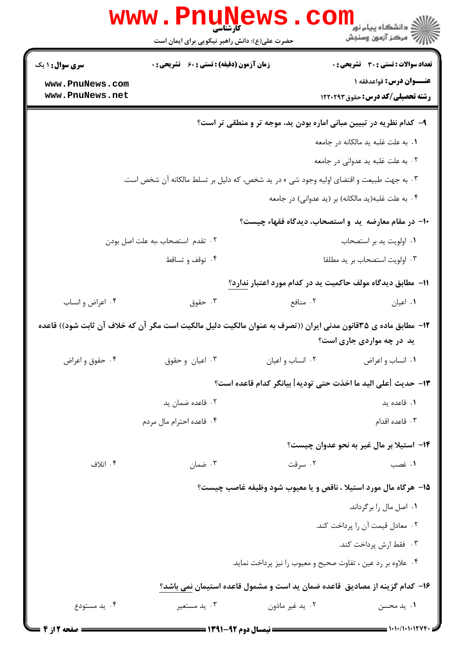|                                                                            | <b>www.PnuNews</b><br>کارشناسی<br>حضرت علی(ع): دانش راهبر نیکویی برای ایمان است                               |                                                            | کی دانشگاه پیام نور<br> > دانشگاه پیام نور<br> > سرکز آزمون وسنجش  |  |
|----------------------------------------------------------------------------|---------------------------------------------------------------------------------------------------------------|------------------------------------------------------------|--------------------------------------------------------------------|--|
| <b>سری سوال : ۱ یک</b>                                                     | <b>زمان آزمون (دقیقه) : تستی : 60 ٪ تشریحی : 0</b>                                                            |                                                            | <b>تعداد سوالات : تستی : 30 ٪ تشریحی : 0</b>                       |  |
| www.PnuNews.com<br>www.PnuNews.net                                         |                                                                                                               |                                                            | عنــوان درس: قواعدفقه ۱<br><b>رشته تحصیلی/کد درس:</b> حقوق ۱۲۲۰۲۹۳ |  |
|                                                                            |                                                                                                               |                                                            |                                                                    |  |
| ۹– کدام نظریه در تبیین مبانی اماره بودن ید، موجه تر و منطقی تر است؟        |                                                                                                               |                                                            |                                                                    |  |
|                                                                            |                                                                                                               |                                                            | ٠١. به علت غلبه يد مالكانه در جامعه                                |  |
|                                                                            |                                                                                                               |                                                            | ۰۲ به علت غلبه ید عدوانی در جامعه                                  |  |
|                                                                            | ۰۳ به جهت طبیعت و اقتضای اولیه وجود شی ء در ید شخص، که دلیل بر تسلط مالکانه آن شخص است.                       |                                                            |                                                                    |  |
|                                                                            |                                                                                                               |                                                            | ۰۴ به علت غلبه(ید مالکانه) بر (ید عدوانی) در جامعه                 |  |
|                                                                            |                                                                                                               | ∙۱− در مقام معارضه ً ید و استصحاب، دیدگاه فقهاء چیست؟      |                                                                    |  |
| ٠٢ تقدم استصحاب ،به علت اصل بودن                                           |                                                                                                               |                                                            | ٠١ اولويت يد بر استصحاب                                            |  |
|                                                                            | ۰۴ توقف و تساقط                                                                                               | ۰۳ اولويت استصحاب بر يد مطلقا                              |                                                                    |  |
|                                                                            |                                                                                                               | 11– مطابق دیدگاه مولف حاکمیت ید در کدام مورد اعتبار ندارد؟ |                                                                    |  |
| ۰۴ اعراض و انساب                                                           | ۰۳ حقوق                                                                                                       | ۰۲ منافع                                                   | ۰۱ اعیان                                                           |  |
|                                                                            | ۱۲- مطابق ماده ی ۳۵قانون مدنی ایران ((تصرف به عنوان مالکیت دلیل مالکیت است مگر آن که خلاف آن ثابت شود)) قاعده |                                                            |                                                                    |  |
|                                                                            |                                                                                                               |                                                            | ید در چه مواردی جاری است؟                                          |  |
| ۰۴ حقوق و اعراض                                                            | ۰۳ اعیان و حقوق                                                                                               | ۰۲ انساب و اعیان                                           | ۰۱ انساب و اعراض                                                   |  |
|                                                                            |                                                                                                               |                                                            | ١٣- حديث [على اليد ما اخذت حتى توديه] بيانگر كدام قاعده است؟       |  |
|                                                                            | ۰۲ قاعده ضمان پد                                                                                              |                                                            | ۰۱ قاعده پد                                                        |  |
|                                                                            | ۰۴ قاعده احترام مال مردم                                                                                      |                                                            | ۰۳ قاعده اقدام                                                     |  |
|                                                                            |                                                                                                               |                                                            | <b>۱۴</b> – استیلا بر مال غیر به نحو عدوان چیست؟                   |  |
| ۰۴ اتلاف                                                                   | ۰۳ ضمان                                                                                                       | ۰۲ سرقت                                                    | ۰۱ غصب                                                             |  |
|                                                                            |                                                                                                               |                                                            | ۱۵- هرگاه مال مورد استیلا ، ناقص و یا معیوب شود وظیفه غاصب چیست؟   |  |
|                                                                            |                                                                                                               |                                                            | ۰۱ اصل مال را برگرداند.                                            |  |
|                                                                            |                                                                                                               |                                                            | ٠٢ معادل قيمت آن را پرداخت كند.                                    |  |
|                                                                            |                                                                                                               |                                                            | ۰۳ فقط ارش پرداخت کند.                                             |  |
| ۰۴ علاوه بر رد عین ، تفاوت صحیح و معیوب را نیز پرداخت نماید.               |                                                                                                               |                                                            |                                                                    |  |
| ۱۶– کدام گزینه از مصادیق قاعده ضمان ید است و مشمول قاعده استیمان نمی باشد؟ |                                                                                                               |                                                            |                                                                    |  |
| ۰۴ يد مستودع                                                               | ۰۳ يد مستعير                                                                                                  | ۰۲ يد غير ماذون                                            | ۰۱ يد محسن                                                         |  |
| = صفحه 2 از 4                                                              | <b>ـــــ نیمسال دوم ۹۲-۱۳۹۱ ــــ</b>                                                                          |                                                            |                                                                    |  |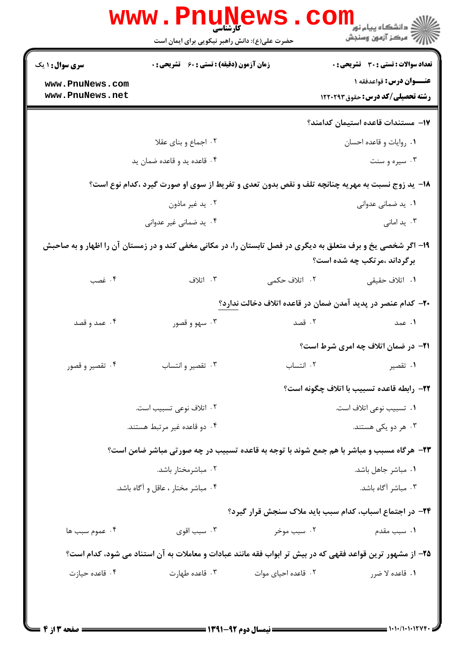|                                    | www . Pn<br>کارشناسی<br>حضرت علی(ع): دانش راهبر نیکویی برای ایمان است                                        |                     | د دانشگاه پيام نو <mark>ر</mark><br>رآ مرڪز آزمون وسنڊش                   |
|------------------------------------|--------------------------------------------------------------------------------------------------------------|---------------------|---------------------------------------------------------------------------|
| <b>سری سوال : ۱ یک</b>             | <b>زمان آزمون (دقیقه) : تستی : 60 ٪ تشریحی : 0</b>                                                           |                     | تعداد سوالات : تستى : 30 - تشريحي : 0                                     |
| www.PnuNews.com<br>www.PnuNews.net |                                                                                                              |                     | <b>عنــوان درس:</b> قواعدفقه ۱<br><b>رشته تحصیلی/کد درس:</b> حقوق ۱۲۲۰۲۹۳ |
|                                    |                                                                                                              |                     | 17- مستندات قاعده استيمان كدامند؟                                         |
|                                    | ۰۲ اجماع و بنای عقلا                                                                                         |                     | ٠١. روايات و قاعده احسان                                                  |
|                                    | ۰۴ قاعده ید و قاعده ضمان ید                                                                                  |                     | ۰۳ سیره و سنت                                                             |
|                                    | 18- ید زوج نسبت به مهریه چنانچه تلف و نقص بدون تعدی و تفریط از سوی او صورت گیرد ،کدام نوع است؟               |                     |                                                                           |
|                                    | ۰۲ يد غير ماذون                                                                                              |                     | ۰۱ ید ضمانی عدوانی                                                        |
|                                    | ۰۴ ید ضمانی غیر عدوانی                                                                                       |                     | ۰۳ ید امانی                                                               |
|                                    | ۱۹- اگر شخصی یخ و برف متعلق به دیگری در فصل تابستان را، در مکانی مخفی کند و در زمستان آن را اظهار و به صاحبش |                     | برگرداند ،مرتکب چه شده است؟                                               |
| ۰۴ غصب                             | ۰۳ اتلاف                                                                                                     | ۲. اتلاف حکمی       | ۰۱ اتلاف حقیقی                                                            |
|                                    |                                                                                                              |                     | ۲۰– کدام عنصر در پدید آمدن ضمان در قاعده اتلاف دخالت ندارد؟               |
| ۰۴ عمد و قصد                       | ۰۳ سهو و قصور                                                                                                | ۰۲ قصد              | ۰۱ عمد                                                                    |
|                                    |                                                                                                              |                     | <b>۲۱</b> - در ضمان اتلاف چه امری شرط است؟                                |
| ۰۴ تقصیر و قصور                    | ۰۳ تقصیر و انتساب                                                                                            | ٠٢ انتساب           | ۰۱ تقصیر                                                                  |
|                                    |                                                                                                              |                     | ٢٢- رابطه قاعده تسبيب با اتلاف چگونه است؟                                 |
|                                    | ۰۲ اتلاف نوعی تسبیب است.                                                                                     |                     | ۰۱ تسبیب نوعی اتلاف است.                                                  |
|                                    | ۰۴ دو قاعده غیر مرتبط هستند.                                                                                 |                     | ۰۳ هر دو یکی هستند.                                                       |
|                                    | ۲۳- هرگاه مسبب و مباشر با هم جمع شوند با توجه به قاعده تسبیب در چه صورتی مباشر ضامن است؟                     |                     |                                                                           |
|                                    | ۰۲ مباشرمختار باشد.                                                                                          |                     | ۰۱ مباشر جاهل باشد.                                                       |
|                                    | ۰۴ مباشر مختار ، عاقل و آگاه باشد.                                                                           |                     | ۰۳ مباشر آگاه باشد.                                                       |
|                                    |                                                                                                              |                     | <b>۲۴- در اجتماع اسباب، کدام سبب باید ملاک سنجش قرار گیرد؟</b>            |
| ۰۴ عموم سبب ها                     | سبب اقوی $\cdot$ ۳ $\cdot$                                                                                   | ۰۲ سبب موخر         | ۰۱ سبب مقدم                                                               |
|                                    | ۲۵– از مشهور ترین قواعد فقهی که در بیش تر ابواب فقه مانند عبادات و معاملات به آن استناد می شود، کدام است؟    |                     |                                                                           |
| ۰۴ قاعده حیازت                     | ۰۳ قاعده طهارت                                                                                               | ۰۲ قاعده احیای موات | ۱. قاعده لا ضرر                                                           |
|                                    |                                                                                                              |                     |                                                                           |